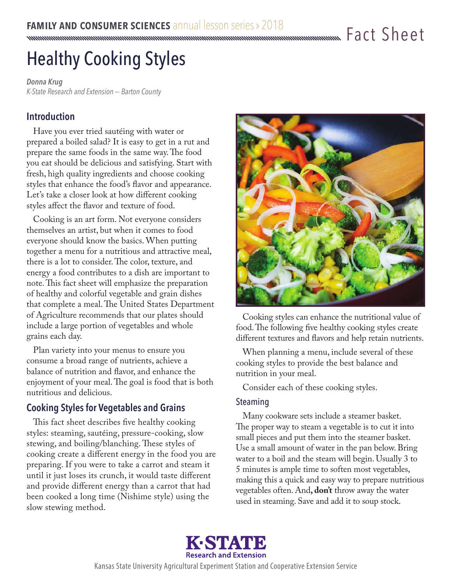# Healthy Cooking Styles

*Donna Krug K-State Research and Extension –- Barton County*

# **Introduction**

Have you ever tried sautéing with water or prepared a boiled salad? It is easy to get in a rut and prepare the same foods in the same way. The food you eat should be delicious and satisfying. Start with fresh, high quality ingredients and choose cooking styles that enhance the food's flavor and appearance. Let's take a closer look at how different cooking styles affect the flavor and texture of food.

Cooking is an art form. Not everyone considers themselves an artist, but when it comes to food everyone should know the basics. When putting together a menu for a nutritious and attractive meal, there is a lot to consider. The color, texture, and energy a food contributes to a dish are important to note. This fact sheet will emphasize the preparation of healthy and colorful vegetable and grain dishes that complete a meal. The United States Department of Agriculture recommends that our plates should include a large portion of vegetables and whole grains each day.

Plan variety into your menus to ensure you consume a broad range of nutrients, achieve a balance of nutrition and flavor, and enhance the enjoyment of your meal. The goal is food that is both nutritious and delicious.

# **Cooking Styles for Vegetables and Grains**

This fact sheet describes five healthy cooking styles: steaming, sautéing, pressure-cooking, slow stewing, and boiling/blanching. These styles of cooking create a different energy in the food you are preparing. If you were to take a carrot and steam it until it just loses its crunch, it would taste different and provide different energy than a carrot that had been cooked a long time (Nishime style) using the slow stewing method.



Cooking styles can enhance the nutritional value of food. The following five healthy cooking styles create different textures and flavors and help retain nutrients.

When planning a menu, include several of these cooking styles to provide the best balance and nutrition in your meal.

Consider each of these cooking styles.

## Steaming

Many cookware sets include a steamer basket. The proper way to steam a vegetable is to cut it into small pieces and put them into the steamer basket. Use a small amount of water in the pan below. Bring water to a boil and the steam will begin. Usually 3 to 5 minutes is ample time to soften most vegetables, making this a quick and easy way to prepare nutritious vegetables often. And**, don't** throw away the water used in steaming. Save and add it to soup stock.



Kansas State University Agricultural Experiment Station and Cooperative Extension Service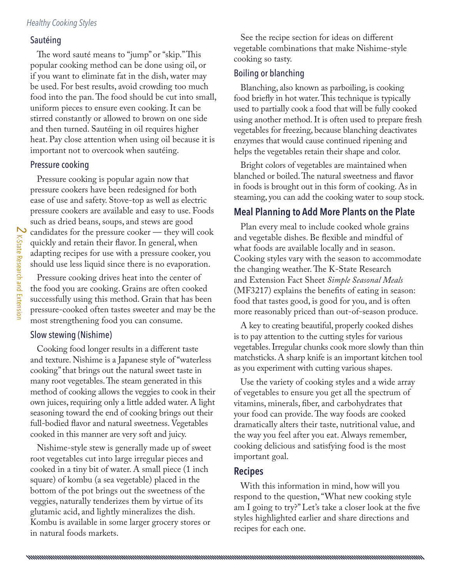#### *Healthy Cooking Styles*

#### Sautéing

The word sauté means to "jump" or "skip." This popular cooking method can be done using oil, or if you want to eliminate fat in the dish, water may be used. For best results, avoid crowding too much food into the pan. The food should be cut into small, uniform pieces to ensure even cooking. It can be stirred constantly or allowed to brown on one side and then turned. Sautéing in oil requires higher heat. Pay close attention when using oil because it is important not to overcook when sautéing.

#### Pressure cooking

Pressure cooking is popular again now that pressure cookers have been redesigned for both ease of use and safety. Stove-top as well as electric pressure cookers are available and easy to use. Foods such as dried beans, soups, and stews are good candidates for the pressure cooker — they will cook quickly and retain their flavor. In general, when adapting recipes for use with a pressure cooker, you should use less liquid since there is no evaporation.

Pressure cooking drives heat into the center of the food you are cooking. Grains are often cooked successfully using this method. Grain that has been pressure-cooked often tastes sweeter and may be the most strengthening food you can consume.

#### Slow stewing (Nishime)

Cooking food longer results in a different taste and texture. Nishime is a Japanese style of "waterless cooking" that brings out the natural sweet taste in many root vegetables. The steam generated in this method of cooking allows the veggies to cook in their own juices, requiring only a little added water. A light seasoning toward the end of cooking brings out their full-bodied flavor and natural sweetness. Vegetables cooked in this manner are very soft and juicy.

Nishime-style stew is generally made up of sweet root vegetables cut into large irregular pieces and cooked in a tiny bit of water. A small piece (1 inch square) of kombu (a sea vegetable) placed in the bottom of the pot brings out the sweetness of the veggies, naturally tenderizes them by virtue of its glutamic acid, and lightly mineralizes the dish. Kombu is available in some larger grocery stores or in natural foods markets.

See the recipe section for ideas on different vegetable combinations that make Nishime-style cooking so tasty.

#### Boiling or blanching

Blanching, also known as parboiling, is cooking food briefly in hot water. This technique is typically used to partially cook a food that will be fully cooked using another method. It is often used to prepare fresh vegetables for freezing, because blanching deactivates enzymes that would cause continued ripening and helps the vegetables retain their shape and color.

Bright colors of vegetables are maintained when blanched or boiled. The natural sweetness and flavor in foods is brought out in this form of cooking. As in steaming, you can add the cooking water to soup stock.

## **Meal Planning to Add More Plants on the Plate**

Plan every meal to include cooked whole grains and vegetable dishes. Be flexible and mindful of what foods are available locally and in season. Cooking styles vary with the season to accommodate the changing weather. The K-State Research and Extension Fact Sheet *Simple Seasonal Meals* (MF3217) explains the benefits of eating in season: food that tastes good, is good for you, and is often more reasonably priced than out-of-season produce.

A key to creating beautiful, properly cooked dishes is to pay attention to the cutting styles for various vegetables. Irregular chunks cook more slowly than thin matchsticks. A sharp knife is an important kitchen tool as you experiment with cutting various shapes.

Use the variety of cooking styles and a wide array of vegetables to ensure you get all the spectrum of vitamins, minerals, fiber, and carbohydrates that your food can provide. The way foods are cooked dramatically alters their taste, nutritional value, and the way you feel after you eat. Always remember, cooking delicious and satisfying food is the most important goal.

#### **Recipes**

With this information in mind, how will you respond to the question, "What new cooking style am I going to try?" Let's take a closer look at the five styles highlighted earlier and share directions and recipes for each one.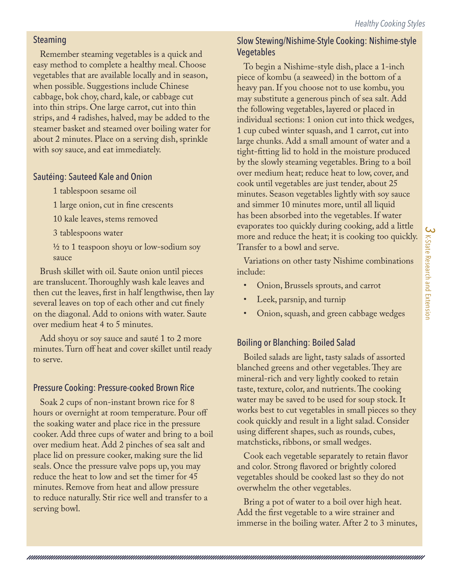## Steaming

Remember steaming vegetables is a quick and easy method to complete a healthy meal. Choose vegetables that are available locally and in season, when possible. Suggestions include Chinese cabbage, bok choy, chard, kale, or cabbage cut into thin strips. One large carrot, cut into thin strips, and 4 radishes, halved, may be added to the steamer basket and steamed over boiling water for about 2 minutes. Place on a serving dish, sprinkle with soy sauce, and eat immediately.

## Sautéing: Sauteed Kale and Onion

1 tablespoon sesame oil

1 large onion, cut in fine crescents

10 kale leaves, stems removed

3 tablespoons water

½ to 1 teaspoon shoyu or low-sodium soy sauce

Brush skillet with oil. Saute onion until pieces are translucent. Thoroughly wash kale leaves and then cut the leaves, first in half lengthwise, then lay several leaves on top of each other and cut finely on the diagonal. Add to onions with water. Saute over medium heat 4 to 5 minutes.

Add shoyu or soy sauce and sauté 1 to 2 more minutes. Turn off heat and cover skillet until ready to serve.

# Pressure Cooking: Pressure-cooked Brown Rice

Soak 2 cups of non-instant brown rice for 8 hours or overnight at room temperature. Pour off the soaking water and place rice in the pressure cooker. Add three cups of water and bring to a boil over medium heat. Add 2 pinches of sea salt and place lid on pressure cooker, making sure the lid seals. Once the pressure valve pops up, you may reduce the heat to low and set the timer for 45 minutes. Remove from heat and allow pressure to reduce naturally. Stir rice well and transfer to a serving bowl.

# Slow Stewing/Nishime-Style Cooking: Nishime-style Vegetables

To begin a Nishime-style dish, place a 1-inch piece of kombu (a seaweed) in the bottom of a heavy pan. If you choose not to use kombu, you may substitute a generous pinch of sea salt. Add the following vegetables, layered or placed in individual sections: 1 onion cut into thick wedges, 1 cup cubed winter squash, and 1 carrot, cut into large chunks. Add a small amount of water and a tight-fitting lid to hold in the moisture produced by the slowly steaming vegetables. Bring to a boil over medium heat; reduce heat to low, cover, and cook until vegetables are just tender, about 25 minutes. Season vegetables lightly with soy sauce and simmer 10 minutes more, until all liquid has been absorbed into the vegetables. If water evaporates too quickly during cooking, add a little more and reduce the heat; it is cooking too quickly. Transfer to a bowl and serve.

Variations on other tasty Nishime combinations include:

- Onion, Brussels sprouts, and carrot
- Leek, parsnip, and turnip
- Onion, squash, and green cabbage wedges

# Boiling or Blanching: Boiled Salad

Boiled salads are light, tasty salads of assorted blanched greens and other vegetables. They are mineral-rich and very lightly cooked to retain taste, texture, color, and nutrients. The cooking water may be saved to be used for soup stock. It works best to cut vegetables in small pieces so they cook quickly and result in a light salad. Consider using different shapes, such as rounds, cubes, matchsticks, ribbons, or small wedges.

Cook each vegetable separately to retain flavor and color. Strong flavored or brightly colored vegetables should be cooked last so they do not overwhelm the other vegetables.

Bring a pot of water to a boil over high heat. Add the first vegetable to a wire strainer and immerse in the boiling water. After 2 to 3 minutes,